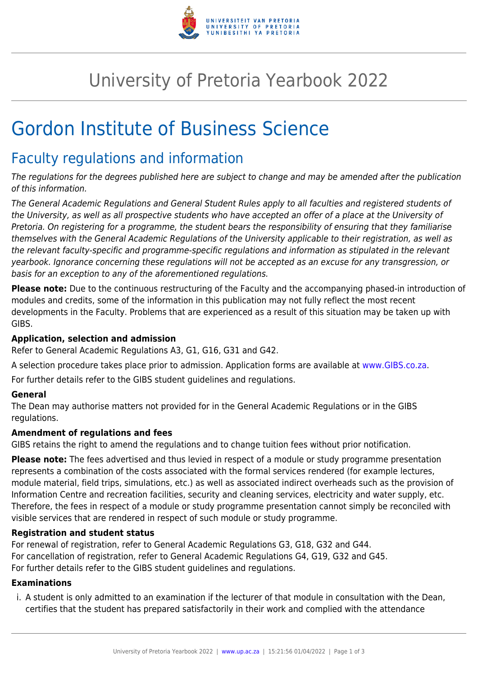

## University of Pretoria Yearbook 2022

# Gordon Institute of Business Science

### Faculty regulations and information

The regulations for the degrees published here are subject to change and may be amended after the publication of this information.

The General Academic Regulations and General Student Rules apply to all faculties and registered students of the University, as well as all prospective students who have accepted an offer of a place at the University of Pretoria. On registering for a programme, the student bears the responsibility of ensuring that they familiarise themselves with the General Academic Regulations of the University applicable to their registration, as well as the relevant faculty-specific and programme-specific regulations and information as stipulated in the relevant yearbook. Ignorance concerning these regulations will not be accepted as an excuse for any transgression, or basis for an exception to any of the aforementioned regulations.

**Please note:** Due to the continuous restructuring of the Faculty and the accompanying phased-in introduction of modules and credits, some of the information in this publication may not fully reflect the most recent developments in the Faculty. Problems that are experienced as a result of this situation may be taken up with GIBS.

#### **Application, selection and admission**

Refer to General Academic Regulations A3, G1, G16, G31 and G42.

A selection procedure takes place prior to admission. Application forms are available at [www.GIBS.co.za.](http://www.gibs.co.za/)

For further details refer to the GIBS student guidelines and regulations.

#### **General**

The Dean may authorise matters not provided for in the General Academic Regulations or in the GIBS regulations.

#### **Amendment of regulations and fees**

GIBS retains the right to amend the regulations and to change tuition fees without prior notification.

**Please note:** The fees advertised and thus levied in respect of a module or study programme presentation represents a combination of the costs associated with the formal services rendered (for example lectures, module material, field trips, simulations, etc.) as well as associated indirect overheads such as the provision of Information Centre and recreation facilities, security and cleaning services, electricity and water supply, etc. Therefore, the fees in respect of a module or study programme presentation cannot simply be reconciled with visible services that are rendered in respect of such module or study programme.

#### **Registration and student status**

For renewal of registration, refer to General Academic Regulations G3, G18, G32 and G44. For cancellation of registration, refer to General Academic Regulations G4, G19, G32 and G45. For further details refer to the GIBS student guidelines and regulations.

#### **Examinations**

i. A student is only admitted to an examination if the lecturer of that module in consultation with the Dean, certifies that the student has prepared satisfactorily in their work and complied with the attendance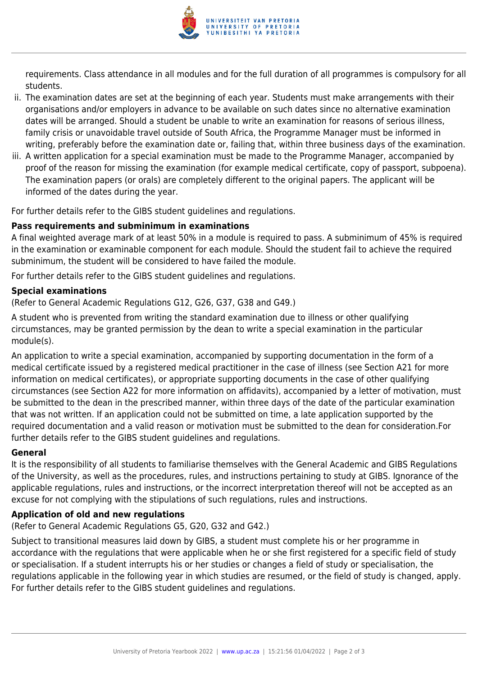

requirements. Class attendance in all modules and for the full duration of all programmes is compulsory for all students.

- ii. The examination dates are set at the beginning of each year. Students must make arrangements with their organisations and/or employers in advance to be available on such dates since no alternative examination dates will be arranged. Should a student be unable to write an examination for reasons of serious illness, family crisis or unavoidable travel outside of South Africa, the Programme Manager must be informed in writing, preferably before the examination date or, failing that, within three business days of the examination.
- iii. A written application for a special examination must be made to the Programme Manager, accompanied by proof of the reason for missing the examination (for example medical certificate, copy of passport, subpoena). The examination papers (or orals) are completely different to the original papers. The applicant will be informed of the dates during the year.

For further details refer to the GIBS student guidelines and regulations.

#### **Pass requirements and subminimum in examinations**

A final weighted average mark of at least 50% in a module is required to pass. A subminimum of 45% is required in the examination or examinable component for each module. Should the student fail to achieve the required subminimum, the student will be considered to have failed the module.

For further details refer to the GIBS student guidelines and regulations.

#### **Special examinations**

(Refer to General Academic Regulations G12, G26, G37, G38 and G49.)

A student who is prevented from writing the standard examination due to illness or other qualifying circumstances, may be granted permission by the dean to write a special examination in the particular module(s).

An application to write a special examination, accompanied by supporting documentation in the form of a medical certificate issued by a registered medical practitioner in the case of illness (see Section A21 for more information on medical certificates), or appropriate supporting documents in the case of other qualifying circumstances (see Section A22 for more information on affidavits), accompanied by a letter of motivation, must be submitted to the dean in the prescribed manner, within three days of the date of the particular examination that was not written. If an application could not be submitted on time, a late application supported by the required documentation and a valid reason or motivation must be submitted to the dean for consideration.For further details refer to the GIBS student guidelines and regulations.

#### **General**

It is the responsibility of all students to familiarise themselves with the General Academic and GIBS Regulations of the University, as well as the procedures, rules, and instructions pertaining to study at GIBS. Ignorance of the applicable regulations, rules and instructions, or the incorrect interpretation thereof will not be accepted as an excuse for not complying with the stipulations of such regulations, rules and instructions.

#### **Application of old and new regulations**

(Refer to General Academic Regulations G5, G20, G32 and G42.)

Subject to transitional measures laid down by GIBS, a student must complete his or her programme in accordance with the regulations that were applicable when he or she first registered for a specific field of study or specialisation. If a student interrupts his or her studies or changes a field of study or specialisation, the regulations applicable in the following year in which studies are resumed, or the field of study is changed, apply. For further details refer to the GIBS student guidelines and regulations.